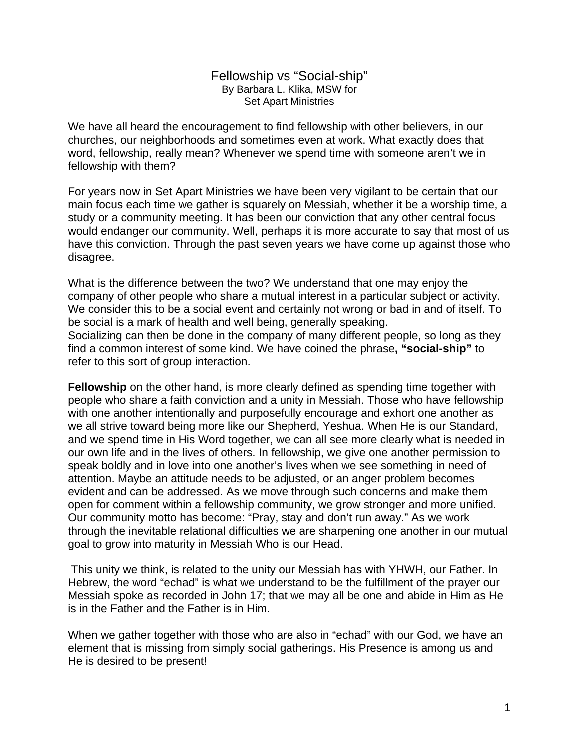## Fellowship vs "Social-ship" By Barbara L. Klika, MSW for Set Apart Ministries

We have all heard the encouragement to find fellowship with other believers, in our churches, our neighborhoods and sometimes even at work. What exactly does that word, fellowship, really mean? Whenever we spend time with someone aren't we in fellowship with them?

For years now in Set Apart Ministries we have been very vigilant to be certain that our main focus each time we gather is squarely on Messiah, whether it be a worship time, a study or a community meeting. It has been our conviction that any other central focus would endanger our community. Well, perhaps it is more accurate to say that most of us have this conviction. Through the past seven years we have come up against those who disagree.

What is the difference between the two? We understand that one may enjoy the company of other people who share a mutual interest in a particular subject or activity. We consider this to be a social event and certainly not wrong or bad in and of itself. To be social is a mark of health and well being, generally speaking. Socializing can then be done in the company of many different people, so long as they find a common interest of some kind. We have coined the phrase**, "social-ship"** to refer to this sort of group interaction.

**Fellowship** on the other hand, is more clearly defined as spending time together with people who share a faith conviction and a unity in Messiah. Those who have fellowship with one another intentionally and purposefully encourage and exhort one another as we all strive toward being more like our Shepherd, Yeshua. When He is our Standard, and we spend time in His Word together, we can all see more clearly what is needed in our own life and in the lives of others. In fellowship, we give one another permission to speak boldly and in love into one another's lives when we see something in need of attention. Maybe an attitude needs to be adjusted, or an anger problem becomes evident and can be addressed. As we move through such concerns and make them open for comment within a fellowship community, we grow stronger and more unified. Our community motto has become: "Pray, stay and don't run away." As we work through the inevitable relational difficulties we are sharpening one another in our mutual goal to grow into maturity in Messiah Who is our Head.

 This unity we think, is related to the unity our Messiah has with YHWH, our Father. In Hebrew, the word "echad" is what we understand to be the fulfillment of the prayer our Messiah spoke as recorded in John 17; that we may all be one and abide in Him as He is in the Father and the Father is in Him.

When we gather together with those who are also in "echad" with our God, we have an element that is missing from simply social gatherings. His Presence is among us and He is desired to be present!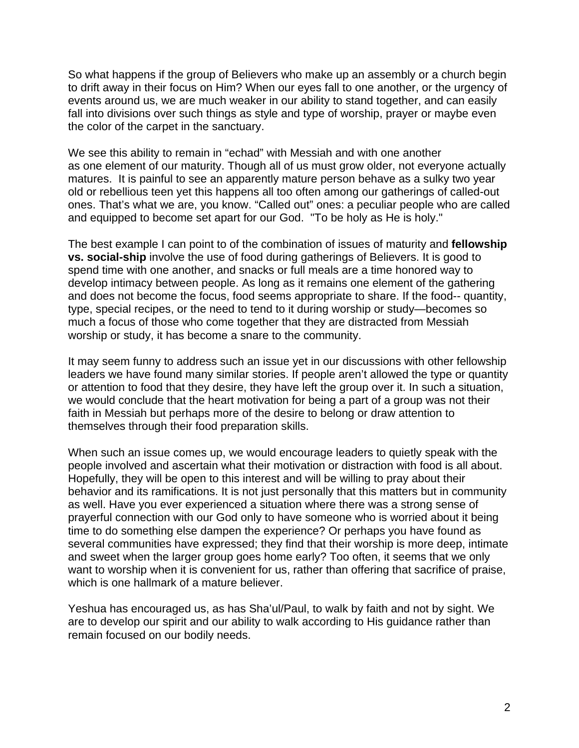So what happens if the group of Believers who make up an assembly or a church begin to drift away in their focus on Him? When our eyes fall to one another, or the urgency of events around us, we are much weaker in our ability to stand together, and can easily fall into divisions over such things as style and type of worship, prayer or maybe even the color of the carpet in the sanctuary.

We see this ability to remain in "echad" with Messiah and with one another as one element of our maturity. Though all of us must grow older, not everyone actually matures. It is painful to see an apparently mature person behave as a sulky two year old or rebellious teen yet this happens all too often among our gatherings of called-out ones. That's what we are, you know. "Called out" ones: a peculiar people who are called and equipped to become set apart for our God. "To be holy as He is holy."

The best example I can point to of the combination of issues of maturity and **fellowship vs. social-ship** involve the use of food during gatherings of Believers. It is good to spend time with one another, and snacks or full meals are a time honored way to develop intimacy between people. As long as it remains one element of the gathering and does not become the focus, food seems appropriate to share. If the food-- quantity, type, special recipes, or the need to tend to it during worship or study—becomes so much a focus of those who come together that they are distracted from Messiah worship or study, it has become a snare to the community.

It may seem funny to address such an issue yet in our discussions with other fellowship leaders we have found many similar stories. If people aren't allowed the type or quantity or attention to food that they desire, they have left the group over it. In such a situation, we would conclude that the heart motivation for being a part of a group was not their faith in Messiah but perhaps more of the desire to belong or draw attention to themselves through their food preparation skills.

When such an issue comes up, we would encourage leaders to quietly speak with the people involved and ascertain what their motivation or distraction with food is all about. Hopefully, they will be open to this interest and will be willing to pray about their behavior and its ramifications. It is not just personally that this matters but in community as well. Have you ever experienced a situation where there was a strong sense of prayerful connection with our God only to have someone who is worried about it being time to do something else dampen the experience? Or perhaps you have found as several communities have expressed; they find that their worship is more deep, intimate and sweet when the larger group goes home early? Too often, it seems that we only want to worship when it is convenient for us, rather than offering that sacrifice of praise, which is one hallmark of a mature believer.

Yeshua has encouraged us, as has Sha'ul/Paul, to walk by faith and not by sight. We are to develop our spirit and our ability to walk according to His guidance rather than remain focused on our bodily needs.